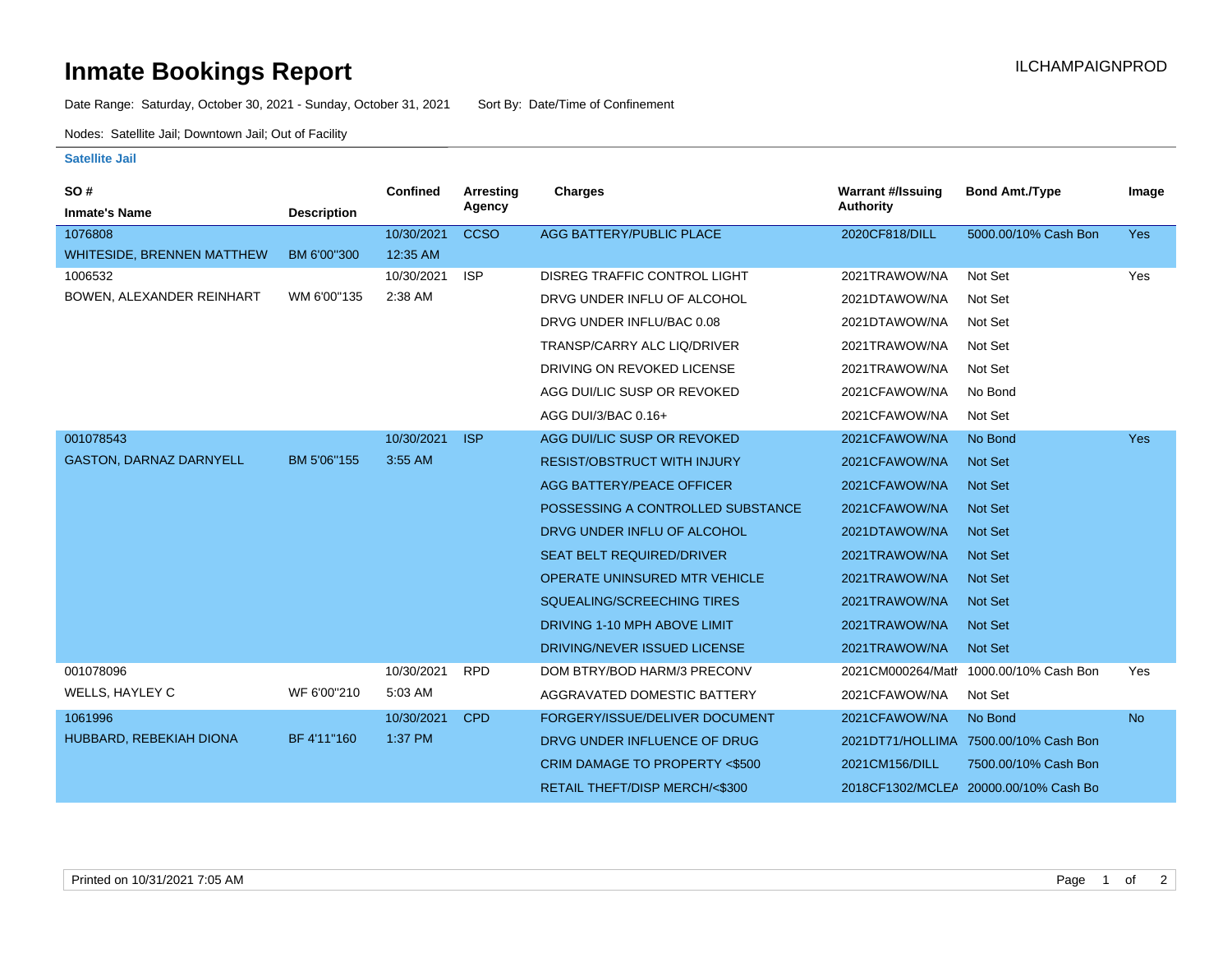## **Inmate Bookings Report International Contract Contract Contract Contract Contract Contract Contract Contract Contract Contract Contract Contract Contract Contract Contract Contract Contract Contract Contract Contract Co**

Date Range: Saturday, October 30, 2021 - Sunday, October 31, 2021 Sort By: Date/Time of Confinement

Nodes: Satellite Jail; Downtown Jail; Out of Facility

## **Satellite Jail**

| <b>SO#</b><br><b>Inmate's Name</b> | <b>Description</b> | <b>Confined</b> | <b>Arresting</b><br>Agency | Charges                             | <b>Warrant #/Issuing</b><br><b>Authority</b> | <b>Bond Amt./Type</b>                  | Image      |
|------------------------------------|--------------------|-----------------|----------------------------|-------------------------------------|----------------------------------------------|----------------------------------------|------------|
| 1076808                            |                    | 10/30/2021      | <b>CCSO</b>                | AGG BATTERY/PUBLIC PLACE            | 2020CF818/DILL                               | 5000.00/10% Cash Bon                   | Yes        |
| WHITESIDE, BRENNEN MATTHEW         | BM 6'00"300        | 12:35 AM        |                            |                                     |                                              |                                        |            |
| 1006532                            |                    | 10/30/2021      | <b>ISP</b>                 | <b>DISREG TRAFFIC CONTROL LIGHT</b> | 2021TRAWOW/NA                                | Not Set                                | Yes        |
| BOWEN, ALEXANDER REINHART          | WM 6'00"135        | 2:38 AM         |                            | DRVG UNDER INFLU OF ALCOHOL         | 2021DTAWOW/NA                                | Not Set                                |            |
|                                    |                    |                 |                            | DRVG UNDER INFLU/BAC 0.08           | 2021DTAWOW/NA                                | Not Set                                |            |
|                                    |                    |                 |                            | TRANSP/CARRY ALC LIQ/DRIVER         | 2021TRAWOW/NA                                | Not Set                                |            |
|                                    |                    |                 |                            | DRIVING ON REVOKED LICENSE          | 2021TRAWOW/NA                                | Not Set                                |            |
|                                    |                    |                 |                            | AGG DUI/LIC SUSP OR REVOKED         | 2021CFAWOW/NA                                | No Bond                                |            |
|                                    |                    |                 |                            | AGG DUI/3/BAC 0.16+                 | 2021CFAWOW/NA                                | Not Set                                |            |
| 001078543                          |                    | 10/30/2021      | <b>ISP</b>                 | AGG DUI/LIC SUSP OR REVOKED         | 2021CFAWOW/NA                                | No Bond                                | <b>Yes</b> |
| <b>GASTON, DARNAZ DARNYELL</b>     | BM 5'06"155        | 3:55 AM         |                            | <b>RESIST/OBSTRUCT WITH INJURY</b>  | 2021CFAWOW/NA                                | <b>Not Set</b>                         |            |
|                                    |                    |                 |                            | AGG BATTERY/PEACE OFFICER           | 2021CFAWOW/NA                                | <b>Not Set</b>                         |            |
|                                    |                    |                 |                            | POSSESSING A CONTROLLED SUBSTANCE   | 2021CFAWOW/NA                                | <b>Not Set</b>                         |            |
|                                    |                    |                 |                            | DRVG UNDER INFLU OF ALCOHOL         | 2021DTAWOW/NA                                | <b>Not Set</b>                         |            |
|                                    |                    |                 |                            | <b>SEAT BELT REQUIRED/DRIVER</b>    | 2021TRAWOW/NA                                | <b>Not Set</b>                         |            |
|                                    |                    |                 |                            | OPERATE UNINSURED MTR VEHICLE       | 2021TRAWOW/NA                                | <b>Not Set</b>                         |            |
|                                    |                    |                 |                            | SQUEALING/SCREECHING TIRES          | 2021TRAWOW/NA                                | <b>Not Set</b>                         |            |
|                                    |                    |                 |                            | DRIVING 1-10 MPH ABOVE LIMIT        | 2021TRAWOW/NA                                | <b>Not Set</b>                         |            |
|                                    |                    |                 |                            | DRIVING/NEVER ISSUED LICENSE        | 2021TRAWOW/NA                                | <b>Not Set</b>                         |            |
| 001078096                          |                    | 10/30/2021      | <b>RPD</b>                 | DOM BTRY/BOD HARM/3 PRECONV         |                                              | 2021CM000264/Matr 1000.00/10% Cash Bon | Yes        |
| WELLS, HAYLEY C                    | WF 6'00"210        | 5:03 AM         |                            | AGGRAVATED DOMESTIC BATTERY         | 2021CFAWOW/NA                                | Not Set                                |            |
| 1061996                            |                    | 10/30/2021      | <b>CPD</b>                 | FORGERY/ISSUE/DELIVER DOCUMENT      | 2021CFAWOW/NA                                | No Bond                                | <b>No</b>  |
| HUBBARD, REBEKIAH DIONA            | BF 4'11"160        | 1:37 PM         |                            | DRVG UNDER INFLUENCE OF DRUG        |                                              | 2021DT71/HOLLIMA 7500.00/10% Cash Bon  |            |
|                                    |                    |                 |                            | CRIM DAMAGE TO PROPERTY <\$500      | 2021CM156/DILL                               | 7500.00/10% Cash Bon                   |            |
|                                    |                    |                 |                            | RETAIL THEFT/DISP MERCH/<\$300      | 2018CF1302/MCLEA                             | 20000.00/10% Cash Bo                   |            |